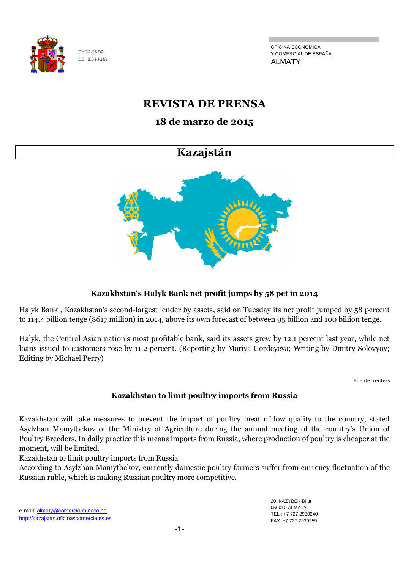

OFICINA ECONÓMICA Y COMERCIAL DE ESPAÑA ALMATY

# **REVISTA DE PRENSA**

# **18 de marzo de 2015**

# **Kazajstán**



# **Kazakhstan's Halyk Bank net profit jumps by 58 pct in 2014**

Halyk Bank , Kazakhstan's second-largest lender by assets, said on Tuesday its net profit jumped by 58 percent to 114.4 billion tenge (\$617 million) in 2014, above its own forecast of between 95 billion and 100 billion tenge.

Halyk, the Central Asian nation's most profitable bank, said its assets grew by 12.1 percent last year, while net loans issued to customers rose by 11.2 percent. (Reporting by Mariya Gordeyeva; Writing by Dmitry Solovyov; Editing by Michael Perry)

Fuente: reuters

# **Kazakhstan to limit poultry imports from Russia**

Kazakhstan will take measures to prevent the import of poultry meat of low quality to the country, stated Asylzhan Mamytbekov of the Ministry of Agriculture during the annual meeting of the country's Union of Poultry Breeders. In daily practice this means imports from Russia, where production of poultry is cheaper at the moment, will be limited.

Kazakhstan to limit poultry imports from Russia

According to Asylzhan Mamytbekov, currently domestic poultry farmers suffer from currency fluctuation of the Russian ruble, which is making Russian poultry more competitive.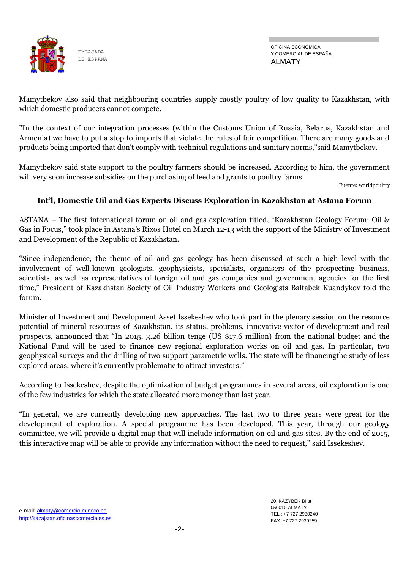

OFICINA ECONÓMICA Y COMERCIAL DE ESPAÑA ALMATY

Mamytbekov also said that neighbouring countries supply mostly poultry of low quality to Kazakhstan, with which domestic producers cannot compete.

"In the context of our integration processes (within the Customs Union of Russia, Belarus, Kazakhstan and Armenia) we have to put a stop to imports that violate the rules of fair competition. There are many goods and products being imported that don't comply with technical regulations and sanitary norms,"said Mamytbekov.

Mamytbekov said state support to the poultry farmers should be increased. According to him, the government will very soon increase subsidies on the purchasing of feed and grants to poultry farms.

Fuente: worldpoultry

### **Int'l, Domestic Oil and Gas Experts Discuss Exploration in Kazakhstan at Astana Forum**

ASTANA – The first international forum on oil and gas exploration titled, "Kazakhstan Geology Forum: Oil & Gas in Focus," took place in Astana's Rixos Hotel on March 12-13 with the support of the Ministry of Investment and Development of the Republic of Kazakhstan.

"Since independence, the theme of oil and gas geology has been discussed at such a high level with the involvement of well-known geologists, geophysicists, specialists, organisers of the prospecting business, scientists, as well as representatives of foreign oil and gas companies and government agencies for the first time," President of Kazakhstan Society of Oil Industry Workers and Geologists Baltabek Kuandykov told the forum.

Minister of Investment and Development Asset Issekeshev who took part in the plenary session on the resource potential of mineral resources of Kazakhstan, its status, problems, innovative vector of development and real prospects, announced that "In 2015, 3.26 billion tenge (US \$17.6 million) from the national budget and the National Fund will be used to finance new regional exploration works on oil and gas. In particular, two geophysical surveys and the drilling of two support parametric wells. The state will be financingthe study of less explored areas, where it's currently problematic to attract investors."

According to Issekeshev, despite the optimization of budget programmes in several areas, oil exploration is one of the few industries for which the state allocated more money than last year.

"In general, we are currently developing new approaches. The last two to three years were great for the development of exploration. A special programme has been developed. This year, through our geology committee, we will provide a digital map that will include information on oil and gas sites. By the end of 2015, this interactive map will be able to provide any information without the need to request," said Issekeshev.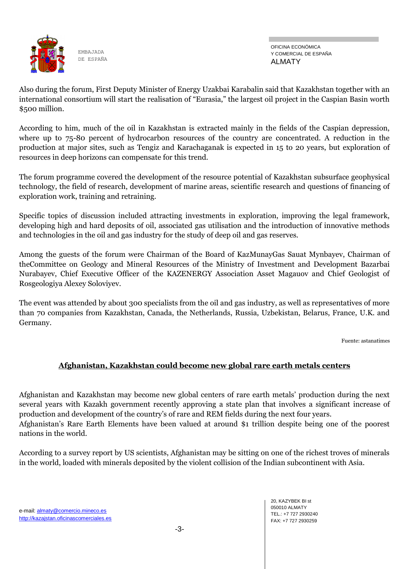

OFICINA ECONÓMICA Y COMERCIAL DE ESPAÑA ALMATY

Also during the forum, First Deputy Minister of Energy Uzakbai Karabalin said that Kazakhstan together with an international consortium will start the realisation of "Eurasia," the largest oil project in the Caspian Basin worth \$500 million.

According to him, much of the oil in Kazakhstan is extracted mainly in the fields of the Caspian depression, where up to 75-80 percent of hydrocarbon resources of the country are concentrated. A reduction in the production at major sites, such as Tengiz and Karachaganak is expected in 15 to 20 years, but exploration of resources in deep horizons can compensate for this trend.

The forum programme covered the development of the resource potential of Kazakhstan subsurface geophysical technology, the field of research, development of marine areas, scientific research and questions of financing of exploration work, training and retraining.

Specific topics of discussion included attracting investments in exploration, improving the legal framework, developing high and hard deposits of oil, associated gas utilisation and the introduction of innovative methods and technologies in the oil and gas industry for the study of deep oil and gas reserves.

Among the guests of the forum were Chairman of the Board of KazMunayGas Sauat Mynbayev, Chairman of theCommittee on Geology and Mineral Resources of the Ministry of Investment and Development Bazarbai Nurabayev, Chief Executive Officer of the KAZENERGY Association Asset Magauov and Chief Geologist of Rosgeologiya Alexey Soloviyev.

The event was attended by about 300 specialists from the oil and gas industry, as well as representatives of more than 70 companies from Kazakhstan, Canada, the Netherlands, Russia, Uzbekistan, Belarus, France, U.K. and Germany.

Fuente: astanatimes

# **Afghanistan, Kazakhstan could become new global rare earth metals centers**

Afghanistan and Kazakhstan may become new global centers of rare earth metals' production during the next several years with Kazakh government recently approving a state plan that involves a significant increase of production and development of the country's of rare and REM fields during the next four years. Afghanistan's Rare Earth Elements have been valued at around \$1 trillion despite being one of the poorest nations in the world.

According to a survey report by US scientists, Afghanistan may be sitting on one of the richest troves of minerals in the world, loaded with minerals deposited by the violent collision of the Indian subcontinent with Asia.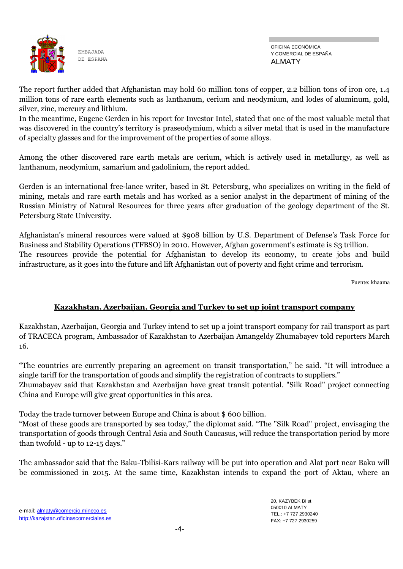

OFICINA ECONÓMICA Y COMERCIAL DE ESPAÑA ALMATY

The report further added that Afghanistan may hold 60 million tons of copper, 2.2 billion tons of iron ore, 1.4 million tons of rare earth elements such as lanthanum, cerium and neodymium, and lodes of aluminum, gold, silver, zinc, mercury and lithium.

In the meantime, Eugene Gerden in his report for Investor Intel, stated that one of the most valuable metal that was discovered in the country's territory is praseodymium, which a silver metal that is used in the manufacture of specialty glasses and for the improvement of the properties of some alloys.

Among the other discovered rare earth metals are cerium, which is actively used in metallurgy, as well as lanthanum, neodymium, samarium and gadolinium, the report added.

Gerden is an international free-lance writer, based in St. Petersburg, who specializes on writing in the field of mining, metals and rare earth metals and has worked as a senior analyst in the department of mining of the Russian Ministry of Natural Resources for three years after graduation of the geology department of the St. Petersburg State University.

Afghanistan's mineral resources were valued at \$908 billion by U.S. Department of Defense's Task Force for Business and Stability Operations (TFBSO) in 2010. However, Afghan government's estimate is \$3 trillion. The resources provide the potential for Afghanistan to develop its economy, to create jobs and build infrastructure, as it goes into the future and lift Afghanistan out of poverty and fight crime and terrorism.

Fuente: khaama

# **Kazakhstan, Azerbaijan, Georgia and Turkey to set up joint transport company**

Kazakhstan, Azerbaijan, Georgia and Turkey intend to set up a joint transport company for rail transport as part of TRACECA program, Ambassador of Kazakhstan to Azerbaijan Amangeldy Zhumabayev told reporters March 16.

"The countries are currently preparing an agreement on transit transportation," he said. "It will introduce a single tariff for the transportation of goods and simplify the registration of contracts to suppliers."

Zhumabayev said that Kazakhstan and Azerbaijan have great transit potential. "Silk Road" project connecting China and Europe will give great opportunities in this area.

Today the trade turnover between Europe and China is about \$ 600 billion.

"Most of these goods are transported by sea today," the diplomat said. "The "Silk Road" project, envisaging the transportation of goods through Central Asia and South Caucasus, will reduce the transportation period by more than twofold - up to 12-15 days."

The ambassador said that the Baku-Tbilisi-Kars railway will be put into operation and Alat port near Baku will be commissioned in 2015. At the same time, Kazakhstan intends to expand the port of Aktau, where an

20, KAZYBEK BI st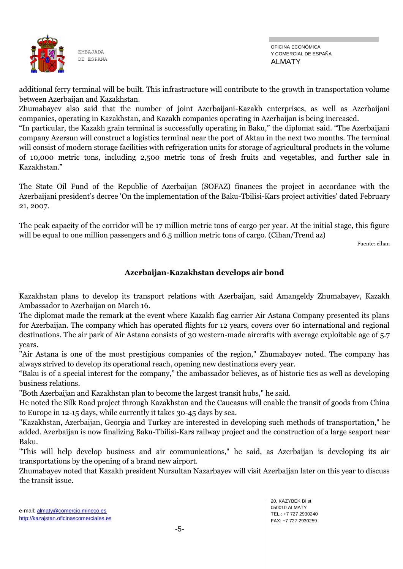

additional ferry terminal will be built. This infrastructure will contribute to the growth in transportation volume between Azerbaijan and Kazakhstan.

Zhumabayev also said that the number of joint Azerbaijani-Kazakh enterprises, as well as Azerbaijani companies, operating in Kazakhstan, and Kazakh companies operating in Azerbaijan is being increased.

"In particular, the Kazakh grain terminal is successfully operating in Baku," the diplomat said. "The Azerbaijani company Azersun will construct a logistics terminal near the port of Aktau in the next two months. The terminal will consist of modern storage facilities with refrigeration units for storage of agricultural products in the volume of 10,000 metric tons, including 2,500 metric tons of fresh fruits and vegetables, and further sale in Kazakhstan."

The State Oil Fund of the Republic of Azerbaijan (SOFAZ) finances the project in accordance with the Azerbaijani president's decree 'On the implementation of the Baku-Tbilisi-Kars project activities' dated February 21, 2007.

The peak capacity of the corridor will be 17 million metric tons of cargo per year. At the initial stage, this figure will be equal to one million passengers and 6.5 million metric tons of cargo. (Cihan/Trend az)

Fuente: cihan

# **Azerbaijan-Kazakhstan develops air bond**

Kazakhstan plans to develop its transport relations with Azerbaijan, said Amangeldy Zhumabayev, Kazakh Ambassador to Azerbaijan on March 16.

The diplomat made the remark at the event where Kazakh flag carrier Air Astana Company presented its plans for Azerbaijan. The company which has operated flights for 12 years, covers over 60 international and regional destinations. The air park of Air Astana consists of 30 western-made aircrafts with average exploitable age of 5.7 years.

"Air Astana is one of the most prestigious companies of the region," Zhumabayev noted. The company has always strived to develop its operational reach, opening new destinations every year.

"Baku is of a special interest for the company," the ambassador believes, as of historic ties as well as developing business relations.

"Both Azerbaijan and Kazakhstan plan to become the largest transit hubs," he said.

He noted the Silk Road project through Kazakhstan and the Caucasus will enable the transit of goods from China to Europe in 12-15 days, while currently it takes 30-45 days by sea.

"Kazakhstan, Azerbaijan, Georgia and Turkey are interested in developing such methods of transportation," he added. Azerbaijan is now finalizing Baku-Tbilisi-Kars railway project and the construction of a large seaport near Baku.

"This will help develop business and air communications," he said, as Azerbaijan is developing its air transportations by the opening of a brand new airport.

Zhumabayev noted that Kazakh president Nursultan Nazarbayev will visit Azerbaijan later on this year to discuss the transit issue.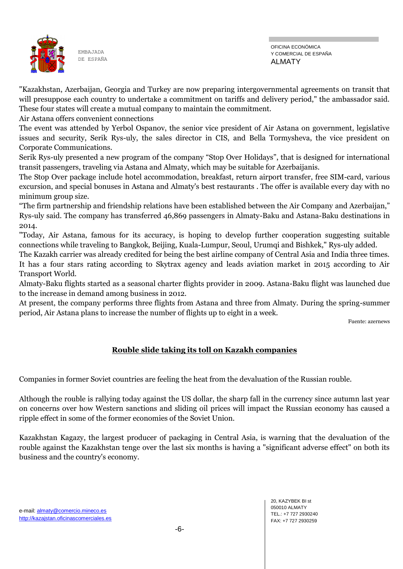

"Kazakhstan, Azerbaijan, Georgia and Turkey are now preparing intergovernmental agreements on transit that will presuppose each country to undertake a commitment on tariffs and delivery period," the ambassador said. These four states will create a mutual company to maintain the commitment.

Air Astana offers convenient connections

The event was attended by Yerbol Ospanov, the senior vice president of Air Astana on government, legislative issues and security, Serik Rys-uly, the sales director in CIS, and Bella Tormysheva, the vice president on Corporate Communications.

Serik Rys-uly presented a new program of the company "Stop Over Holidays", that is designed for international transit passengers, traveling via Astana and Almaty, which may be suitable for Azerbaijanis.

The Stop Over package include hotel accommodation, breakfast, return airport transfer, free SIM-card, various excursion, and special bonuses in Astana and Almaty's best restaurants . The offer is available every day with no minimum group size.

"The firm partnership and friendship relations have been established between the Air Company and Azerbaijan," Rys-uly said. The company has transferred 46,869 passengers in Almaty-Baku and Astana-Baku destinations in 2014.

"Today, Air Astana, famous for its accuracy, is hoping to develop further cooperation suggesting suitable connections while traveling to Bangkok, Beijing, Kuala-Lumpur, Seoul, Urumqi and Bishkek," Rys-uly added.

The Kazakh carrier was already credited for being the best airline company of Central Asia and India three times.

It has a four stars rating according to Skytrax agency and leads aviation market in 2015 according to Air Transport World.

Almaty-Baku flights started as a seasonal charter flights provider in 2009. Astana-Baku flight was launched due to the increase in demand among business in 2012.

At present, the company performs three flights from Astana and three from Almaty. During the spring-summer period, Air Astana plans to increase the number of flights up to eight in a week.

Fuente: azernews

# **Rouble slide taking its toll on Kazakh companies**

Companies in former Soviet countries are feeling the heat from the devaluation of the Russian rouble.

Although the rouble is rallying today against the US dollar, the sharp fall in the currency since autumn last year on concerns over how Western sanctions and sliding oil prices will impact the Russian economy has caused a ripple effect in some of the former economies of the Soviet Union.

Kazakhstan Kagazy, the largest producer of packaging in Central Asia, is warning that the devaluation of the rouble against the Kazakhstan tenge over the last six months is having a "significant adverse effect" on both its business and the country's economy.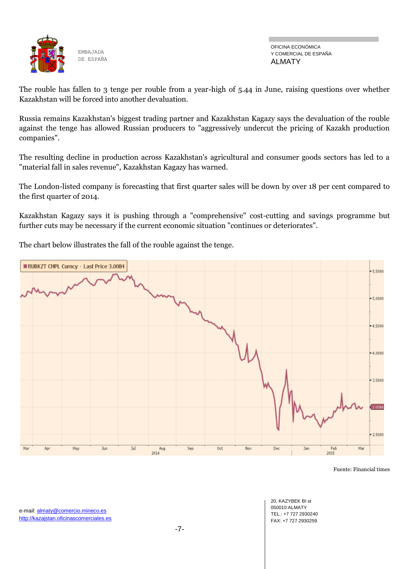

OFICINA ECONÓMICA Y COMERCIAL DE ESPAÑA ALMATY

The rouble has fallen to 3 tenge per rouble from a year-high of 5.44 in June, raising questions over whether Kazakhstan will be forced into another devaluation.

Russia remains Kazakhstan's biggest trading partner and Kazakhstan Kagazy says the devaluation of the rouble against the tenge has allowed Russian producers to "aggressively undercut the pricing of Kazakh production companies".

The resulting decline in production across Kazakhstan's agricultural and consumer goods sectors has led to a "material fall in sales revenue", Kazakhstan Kagazy has warned.

The London-listed company is forecasting that first quarter sales will be down by over 18 per cent compared to the first quarter of 2014.

Kazakhstan Kagazy says it is pushing through a "comprehensive" cost-cutting and savings programme but further cuts may be necessary if the current economic situation "continues or deteriorates".

The chart below illustrates the fall of the rouble against the tenge.



Fuente: Financial times

20, KAZYBEK BI st 050010 ALMATY TEL.: +7 727 2930240 FAX: +7 727 2930259

e-mail: almaty@comercio.mineco.es http://kazajstan.oficinascomerciales.es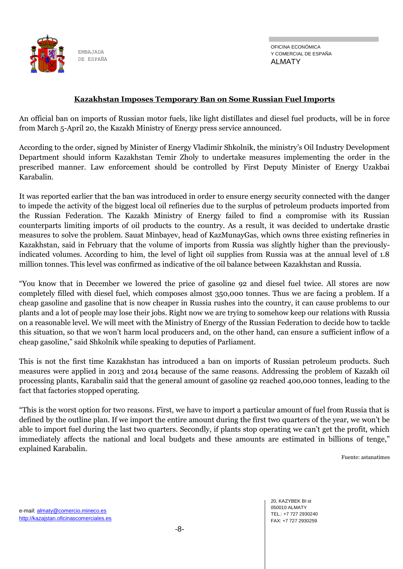

OFICINA ECONÓMICA Y COMERCIAL DE ESPAÑA ALMATY

#### **Kazakhstan Imposes Temporary Ban on Some Russian Fuel Imports**

An official ban on imports of Russian motor fuels, like light distillates and diesel fuel products, will be in force from March 5-April 20, the Kazakh Ministry of Energy press service announced.

According to the order, signed by Minister of Energy Vladimir Shkolnik, the ministry's Oil Industry Development Department should inform Kazakhstan Temir Zholy to undertake measures implementing the order in the prescribed manner. Law enforcement should be controlled by First Deputy Minister of Energy Uzakbai Karabalin.

It was reported earlier that the ban was introduced in order to ensure energy security connected with the danger to impede the activity of the biggest local oil refineries due to the surplus of petroleum products imported from the Russian Federation. The Kazakh Ministry of Energy failed to find a compromise with its Russian counterparts limiting imports of oil products to the country. As a result, it was decided to undertake drastic measures to solve the problem. Sauat Minbayev, head of KazMunayGas, which owns three existing refineries in Kazakhstan, said in February that the volume of imports from Russia was slightly higher than the previouslyindicated volumes. According to him, the level of light oil supplies from Russia was at the annual level of 1.8 million tonnes. This level was confirmed as indicative of the oil balance between Kazakhstan and Russia.

"You know that in December we lowered the price of gasoline 92 and diesel fuel twice. All stores are now completely filled with diesel fuel, which composes almost 350,000 tonnes. Thus we are facing a problem. If a cheap gasoline and gasoline that is now cheaper in Russia rushes into the country, it can cause problems to our plants and a lot of people may lose their jobs. Right now we are trying to somehow keep our relations with Russia on a reasonable level. We will meet with the Ministry of Energy of the Russian Federation to decide how to tackle this situation, so that we won't harm local producers and, on the other hand, can ensure a sufficient inflow of a cheap gasoline," said Shkolnik while speaking to deputies of Parliament.

This is not the first time Kazakhstan has introduced a ban on imports of Russian petroleum products. Such measures were applied in 2013 and 2014 because of the same reasons. Addressing the problem of Kazakh oil processing plants, Karabalin said that the general amount of gasoline 92 reached 400,000 tonnes, leading to the fact that factories stopped operating.

"This is the worst option for two reasons. First, we have to import a particular amount of fuel from Russia that is defined by the outline plan. If we import the entire amount during the first two quarters of the year, we won't be able to import fuel during the last two quarters. Secondly, if plants stop operating we can't get the profit, which immediately affects the national and local budgets and these amounts are estimated in billions of tenge," explained Karabalin.

Fuente: astanatimes

20, KAZYBEK BI st 050010 ALMATY TEL.: +7 727 2930240 FAX: +7 727 2930259

e-mail: almaty@comercio.mineco.es http://kazajstan.oficinascomerciales.es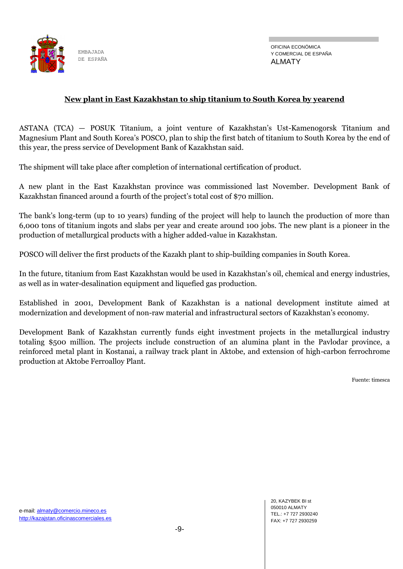

#### **New plant in East Kazakhstan to ship titanium to South Korea by yearend**

ASTANA (TCA) — POSUK Titanium, a joint venture of Kazakhstan's Ust-Kamenogorsk Titanium and Magnesium Plant and South Korea's POSCO, plan to ship the first batch of titanium to South Korea by the end of this year, the press service of Development Bank of Kazakhstan said.

The shipment will take place after completion of international certification of product.

A new plant in the East Kazakhstan province was commissioned last November. Development Bank of Kazakhstan financed around a fourth of the project's total cost of \$70 million.

The bank's long-term (up to 10 years) funding of the project will help to launch the production of more than 6,000 tons of titanium ingots and slabs per year and create around 100 jobs. The new plant is a pioneer in the production of metallurgical products with a higher added-value in Kazakhstan.

POSCO will deliver the first products of the Kazakh plant to ship-building companies in South Korea.

In the future, titanium from East Kazakhstan would be used in Kazakhstan's oil, chemical and energy industries, as well as in water-desalination equipment and liquefied gas production.

Established in 2001, Development Bank of Kazakhstan is a national development institute aimed at modernization and development of non-raw material and infrastructural sectors of Kazakhstan's economy.

Development Bank of Kazakhstan currently funds eight investment projects in the metallurgical industry totaling \$500 million. The projects include construction of an alumina plant in the Pavlodar province, a reinforced metal plant in Kostanai, a railway track plant in Aktobe, and extension of high-carbon ferrochrome production at Aktobe Ferroalloy Plant.

Fuente: timesca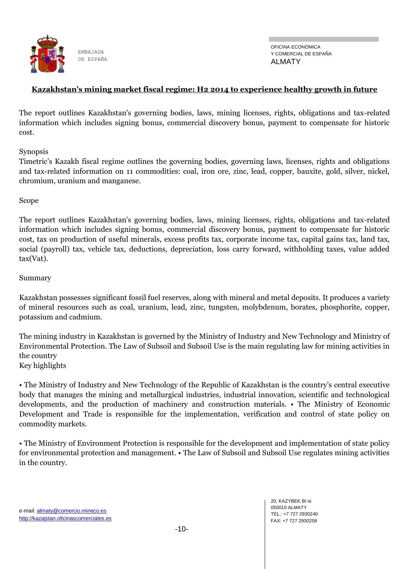

#### **Kazakhstan's mining market fiscal regime: H2 2014 to experience healthy growth in future**

The report outlines Kazakhstan's governing bodies, laws, mining licenses, rights, obligations and tax-related information which includes signing bonus, commercial discovery bonus, payment to compensate for historic cost.

Synopsis

Timetric's Kazakh fiscal regime outlines the governing bodies, governing laws, licenses, rights and obligations and tax-related information on 11 commodities: coal, iron ore, zinc, lead, copper, bauxite, gold, silver, nickel, chromium, uranium and manganese.

Scope

The report outlines Kazakhstan's governing bodies, laws, mining licenses, rights, obligations and tax-related information which includes signing bonus, commercial discovery bonus, payment to compensate for historic cost, tax on production of useful minerals, excess profits tax, corporate income tax, capital gains tax, land tax, social (payroll) tax, vehicle tax, deductions, depreciation, loss carry forward, withholding taxes, value added tax(Vat).

#### Summary

Kazakhstan possesses significant fossil fuel reserves, along with mineral and metal deposits. It produces a variety of mineral resources such as coal, uranium, lead, zinc, tungsten, molybdenum, borates, phosphorite, copper, potassium and cadmium.

The mining industry in Kazakhstan is governed by the Ministry of Industry and New Technology and Ministry of Environmental Protection. The Law of Subsoil and Subsoil Use is the main regulating law for mining activities in the country

Key highlights

• The Ministry of Industry and New Technology of the Republic of Kazakhstan is the country's central executive body that manages the mining and metallurgical industries, industrial innovation, scientific and technological developments, and the production of machinery and construction materials. • The Ministry of Economic Development and Trade is responsible for the implementation, verification and control of state policy on commodity markets.

• The Ministry of Environment Protection is responsible for the development and implementation of state policy for environmental protection and management. • The Law of Subsoil and Subsoil Use regulates mining activities in the country.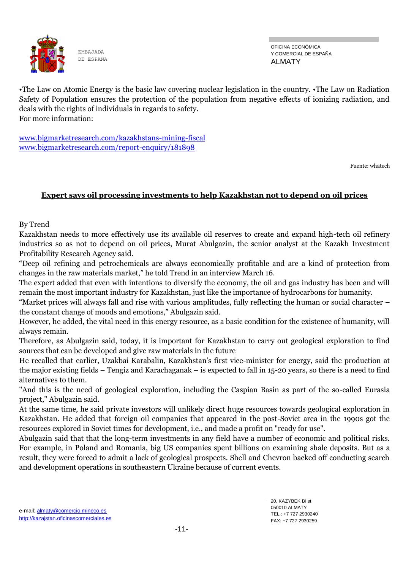

OFICINA ECONÓMICA Y COMERCIAL DE ESPAÑA ALMATY

•The Law on Atomic Energy is the basic law covering nuclear legislation in the country. •The Law on Radiation Safety of Population ensures the protection of the population from negative effects of ionizing radiation, and deals with the rights of individuals in regards to safety. For more information:

[www.bigmarketresearch.com/kazakhstans-mining-fiscal](http://www.bigmarketresearch.com/kazakhstans-mining-fiscal) [www.bigmarketresearch.com/report-enquiry/181898](http://www.bigmarketresearch.com/report-enquiry/181898)

Fuente: whatech

### **Expert says oil processing investments to help Kazakhstan not to depend on oil prices**

By Trend

Kazakhstan needs to more effectively use its available oil reserves to create and expand high-tech oil refinery industries so as not to depend on oil prices, Murat Abulgazin, the senior analyst at the Kazakh Investment Profitability Research Agency said.

"Deep oil refining and petrochemicals are always economically profitable and are a kind of protection from changes in the raw materials market," he told Trend in an interview March 16.

The expert added that even with intentions to diversify the economy, the oil and gas industry has been and will remain the most important industry for Kazakhstan, just like the importance of hydrocarbons for humanity.

"Market prices will always fall and rise with various amplitudes, fully reflecting the human or social character – the constant change of moods and emotions," Abulgazin said.

However, he added, the vital need in this energy resource, as a basic condition for the existence of humanity, will always remain.

Therefore, as Abulgazin said, today, it is important for Kazakhstan to carry out geological exploration to find sources that can be developed and give raw materials in the future

He recalled that earlier, Uzakbai Karabalin, Kazakhstan's first vice-minister for energy, said the production at the major existing fields – Tengiz and Karachaganak – is expected to fall in 15-20 years, so there is a need to find alternatives to them.

"And this is the need of geological exploration, including the Caspian Basin as part of the so-called Eurasia project," Abulgazin said.

At the same time, he said private investors will unlikely direct huge resources towards geological exploration in Kazakhstan. He added that foreign oil companies that appeared in the post-Soviet area in the 1990s got the resources explored in Soviet times for development, i.e., and made a profit on "ready for use".

Abulgazin said that that the long-term investments in any field have a number of economic and political risks. For example, in Poland and Romania, big US companies spent billions on examining shale deposits. But as a result, they were forced to admit a lack of geological prospects. Shell and Chevron backed off conducting search and development operations in southeastern Ukraine because of current events.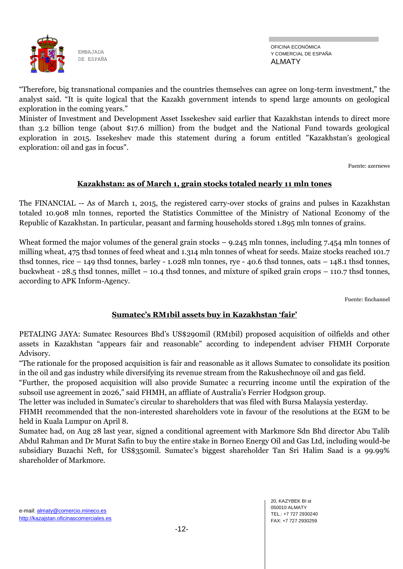

OFICINA ECONÓMICA Y COMERCIAL DE ESPAÑA ALMATY

"Therefore, big transnational companies and the countries themselves can agree on long-term investment," the analyst said. "It is quite logical that the Kazakh government intends to spend large amounts on geological exploration in the coming years."

Minister of Investment and Development Asset Issekeshev said earlier that Kazakhstan intends to direct more than 3.2 billion tenge (about \$17.6 million) from the budget and the National Fund towards geological exploration in 2015. Issekeshev made this statement during a forum entitled "Kazakhstan's geological exploration: oil and gas in focus".

Fuente: azernews

### **Kazakhstan: as of March 1, grain stocks totaled nearly 11 mln tones**

The FINANCIAL -- As of March 1, 2015, the registered carry-over stocks of grains and pulses in Kazakhstan totaled 10.908 mln tonnes, reported the Statistics Committee of the Ministry of National Economy of the Republic of Kazakhstan. In particular, peasant and farming households stored 1.895 mln tonnes of grains.

Wheat formed the major volumes of the general grain stocks – 9.245 mln tonnes, including 7.454 mln tonnes of milling wheat, 475 thsd tonnes of feed wheat and 1.314 mln tonnes of wheat for seeds. Maize stocks reached 101.7 thsd tonnes, rice – 149 thsd tonnes, barley - 1.028 mln tonnes, rye - 40.6 thsd tonnes, oats – 148.1 thsd tonnes, buckwheat - 28.5 thsd tonnes, millet – 10.4 thsd tonnes, and mixture of spiked grain crops – 110.7 thsd tonnes, according to APK Inform-Agency.

Fuente: finchannel

#### **Sumatec's RM1bil assets buy in Kazakhstan 'fair'**

PETALING JAYA: Sumatec Resources Bhd's US\$290mil (RM1bil) proposed acquisition of oilfields and other assets in Kazakhstan "appears fair and reasonable" according to independent adviser FHMH Corporate Advisory.

"The rationale for the proposed acquisition is fair and reasonable as it allows Sumatec to consolidate its position in the oil and gas industry while diversifying its revenue stream from the Rakushechnoye oil and gas field.

"Further, the proposed acquisition will also provide Sumatec a recurring income until the expiration of the subsoil use agreement in 2026," said FHMH, an affliate of Australia's Ferrier Hodgson group.

The letter was included in Sumatec's circular to shareholders that was filed with Bursa Malaysia yesterday.

FHMH recommended that the non-interested shareholders vote in favour of the resolutions at the EGM to be held in Kuala Lumpur on April 8.

Sumatec had, on Aug 28 last year, signed a conditional agreement with Markmore Sdn Bhd director Abu Talib Abdul Rahman and Dr Murat Safin to buy the entire stake in Borneo Energy Oil and Gas Ltd, including would-be subsidiary Buzachi Neft, for US\$350mil. Sumatec's biggest shareholder Tan Sri Halim Saad is a 99.99% shareholder of Markmore.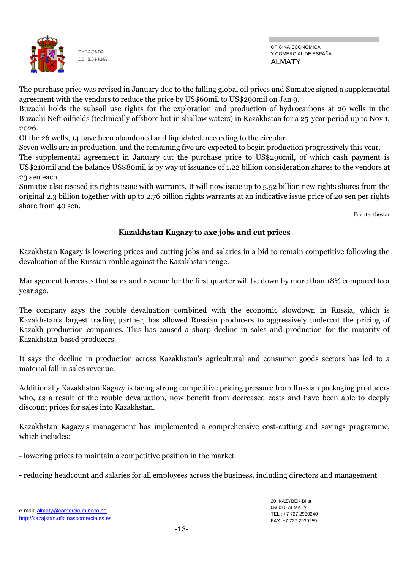

The purchase price was revised in January due to the falling global oil prices and Sumatec signed a supplemental agreement with the vendors to reduce the price by US\$60mil to US\$290mil on Jan 9.

Buzachi holds the subsoil use rights for the exploration and production of hydrocarbons at 26 wells in the Buzachi Neft oilfields (technically offshore but in shallow waters) in Kazakhstan for a 25-year period up to Nov 1, 2026.

Of the 26 wells, 14 have been abandoned and liquidated, according to the circular.

Seven wells are in production, and the remaining five are expected to begin production progressively this year.

The supplemental agreement in January cut the purchase price to US\$290mil, of which cash payment is US\$210mil and the balance US\$80mil is by way of issuance of 1.22 billion consideration shares to the vendors at 23 sen each.

Sumatec also revised its rights issue with warrants. It will now issue up to 5.52 billion new rights shares from the original 2.3 billion together with up to 2.76 billion rights warrants at an indicative issue price of 20 sen per rights share from 40 sen.

Fuente: thestar

### **Kazakhstan Kagazy to axe jobs and cut prices**

Kazakhstan Kagazy is lowering prices and cutting jobs and salaries in a bid to remain competitive following the devaluation of the Russian rouble against the Kazakhstan tenge.

Management forecasts that sales and revenue for the first quarter will be down by more than 18% compared to a year ago.

The company says the rouble devaluation combined with the economic slowdown in Russia, which is Kazakhstan's largest trading partner, has allowed Russian producers to aggressively undercut the pricing of Kazakh production companies. This has caused a sharp decline in sales and production for the majority of Kazakhstan-based producers.

It says the decline in production across Kazakhstan's agricultural and consumer goods sectors has led to a material fall in sales revenue.

Additionally Kazakhstan Kagazy is facing strong competitive pricing pressure from Russian packaging producers who, as a result of the rouble devaluation, now benefit from decreased costs and have been able to deeply discount prices for sales into Kazakhstan.

Kazakhstan Kagazy's management has implemented a comprehensive cost-cutting and savings programme, which includes:

- lowering prices to maintain a competitive position in the market

- reducing headcount and salaries for all employees across the business, including directors and management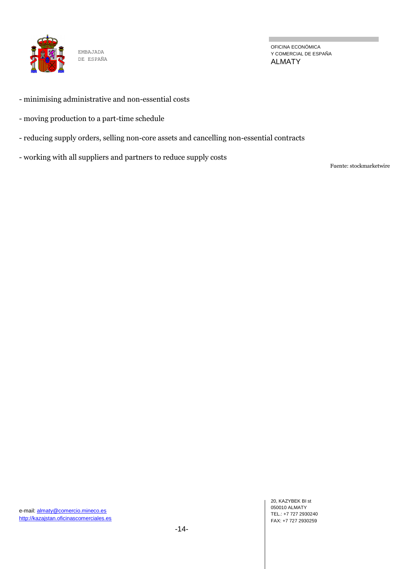

OFICINA ECONÓMICA Y COMERCIAL DE ESPAÑA ALMATY

- minimising administrative and non-essential costs
- moving production to a part-time schedule
- reducing supply orders, selling non-core assets and cancelling non-essential contracts
- working with all suppliers and partners to reduce supply costs

Fuente: stockmarketwire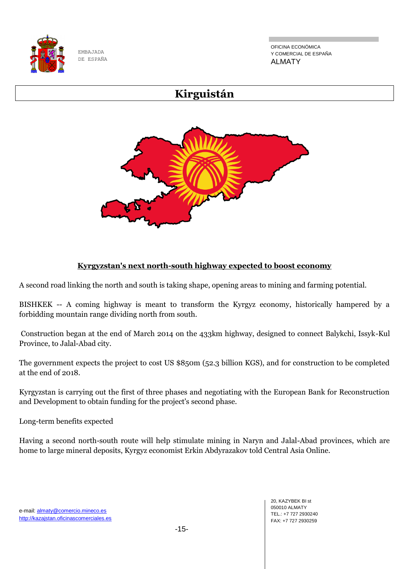

OFICINA ECONÓMICA Y COMERCIAL DE ESPAÑA ALMATY

# **Kirguistán**



# **Kyrgyzstan's next north-south highway expected to boost economy**

A second road linking the north and south is taking shape, opening areas to mining and farming potential.

BISHKEK -- A coming highway is meant to transform the Kyrgyz economy, historically hampered by a forbidding mountain range dividing north from south.

Construction began at the end of March 2014 on the 433km highway, designed to connect Balykchi, Issyk-Kul Province, to Jalal-Abad city.

The government expects the project to cost US \$850m (52.3 billion KGS), and for construction to be completed at the end of 2018.

Kyrgyzstan is carrying out the first of three phases and negotiating with the European Bank for Reconstruction and Development to obtain funding for the project's second phase.

Long-term benefits expected

Having a second north-south route will help stimulate mining in Naryn and Jalal-Abad provinces, which are home to large mineral deposits, Kyrgyz economist Erkin Abdyrazakov told Central Asia Online.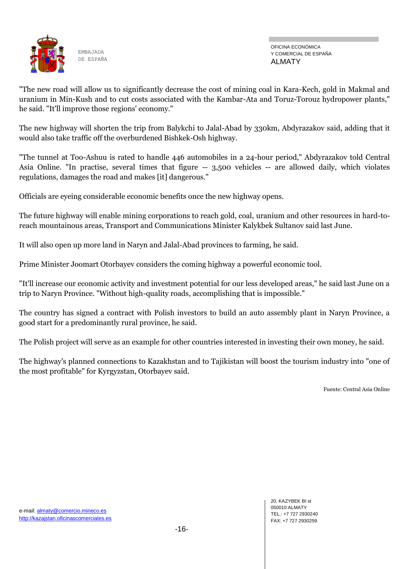

OFICINA ECONÓMICA Y COMERCIAL DE ESPAÑA ALMATY

"The new road will allow us to significantly decrease the cost of mining coal in Kara-Kech, gold in Makmal and uranium in Min-Kush and to cut costs associated with the Kambar-Ata and Toruz-Torouz hydropower plants," he said. "It'll improve those regions' economy."

The new highway will shorten the trip from Balykchi to Jalal-Abad by 330km, Abdyrazakov said, adding that it would also take traffic off the overburdened Bishkek-Osh highway.

"The tunnel at Too-Ashuu is rated to handle 446 automobiles in a 24-hour period," Abdyrazakov told Central Asia Online. "In practise, several times that figure -- 3,500 vehicles -- are allowed daily, which violates regulations, damages the road and makes [it] dangerous."

Officials are eyeing considerable economic benefits once the new highway opens.

The future highway will enable mining corporations to reach gold, coal, uranium and other resources in hard-toreach mountainous areas, Transport and Communications Minister Kalykbek Sultanov said last June.

It will also open up more land in Naryn and Jalal-Abad provinces to farming, he said.

Prime Minister Joomart Otorbayev considers the coming highway a powerful economic tool.

"It'll increase our economic activity and investment potential for our less developed areas," he said last June on a trip to Naryn Province. "Without high-quality roads, accomplishing that is impossible."

The country has signed a contract with Polish investors to build an auto assembly plant in Naryn Province, a good start for a predominantly rural province, he said.

The Polish project will serve as an example for other countries interested in investing their own money, he said.

The highway's planned connections to Kazakhstan and to Tajikistan will boost the tourism industry into "one of the most profitable" for Kyrgyzstan, Otorbayev said.

Fuente: Central Asia Online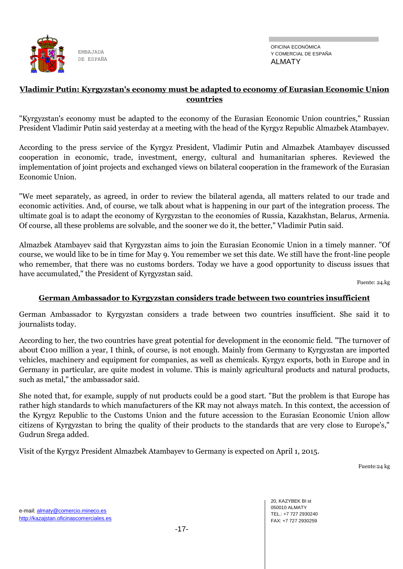

#### **Vladimir Putin: Kyrgyzstan's economy must be adapted to economy of Eurasian Economic Union countries**

"Kyrgyzstan's economy must be adapted to the economy of the Eurasian Economic Union countries," Russian President Vladimir Putin said yesterday at a meeting with the head of the Kyrgyz Republic Almazbek Atambayev.

According to the press service of the Kyrgyz President, Vladimir Putin and Almazbek Atambayev discussed cooperation in economic, trade, investment, energy, cultural and humanitarian spheres. Reviewed the implementation of joint projects and exchanged views on bilateral cooperation in the framework of the Eurasian Economic Union.

"We meet separately, as agreed, in order to review the bilateral agenda, all matters related to our trade and economic activities. And, of course, we talk about what is happening in our part of the integration process. The ultimate goal is to adapt the economy of Kyrgyzstan to the economies of Russia, Kazakhstan, Belarus, Armenia. Of course, all these problems are solvable, and the sooner we do it, the better," Vladimir Putin said.

Almazbek Atambayev said that Kyrgyzstan aims to join the Eurasian Economic Union in a timely manner. "Of course, we would like to be in time for May 9. You remember we set this date. We still have the front-line people who remember, that there was no customs borders. Today we have a good opportunity to discuss issues that have accumulated," the President of Kyrgyzstan said.

Fuente: 24.kg

#### **German Ambassador to Kyrgyzstan considers trade between two countries insufficient**

German Ambassador to Kyrgyzstan considers a trade between two countries insufficient. She said it to journalists today.

According to her, the two countries have great potential for development in the economic field. "The turnover of about €100 million a year, I think, of course, is not enough. Mainly from Germany to Kyrgyzstan are imported vehicles, machinery and equipment for companies, as well as chemicals. Kyrgyz exports, both in Europe and in Germany in particular, are quite modest in volume. This is mainly agricultural products and natural products, such as metal," the ambassador said.

She noted that, for example, supply of nut products could be a good start. "But the problem is that Europe has rather high standards to which manufacturers of the KR may not always match. In this context, the accession of the Kyrgyz Republic to the Customs Union and the future accession to the Eurasian Economic Union allow citizens of Kyrgyzstan to bring the quality of their products to the standards that are very close to Europe's," Gudrun Srega added.

Visit of the Kyrgyz President Almazbek Atambayev to Germany is expected on April 1, 2015.

Fuente:24 kg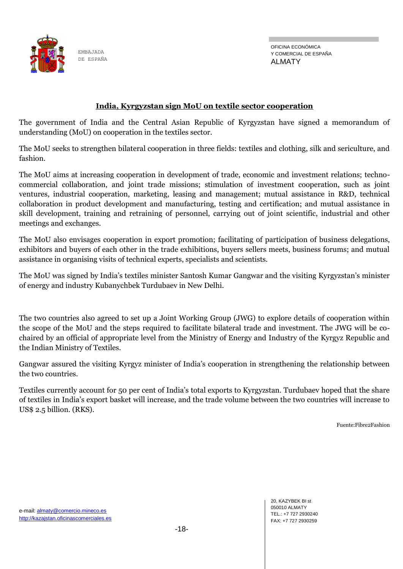

#### **India, Kyrgyzstan sign MoU on textile sector cooperation**

The government of India and the Central Asian Republic of Kyrgyzstan have signed a memorandum of understanding (MoU) on cooperation in the textiles sector.

The MoU seeks to strengthen bilateral cooperation in three fields: textiles and clothing, silk and sericulture, and fashion.

The MoU aims at increasing cooperation in development of trade, economic and investment relations; technocommercial collaboration, and joint trade missions; stimulation of investment cooperation, such as joint ventures, industrial cooperation, marketing, leasing and management; mutual assistance in R&D, technical collaboration in product development and manufacturing, testing and certification; and mutual assistance in skill development, training and retraining of personnel, carrying out of joint scientific, industrial and other meetings and exchanges.

The MoU also envisages cooperation in export promotion; facilitating of participation of business delegations, exhibitors and buyers of each other in the trade exhibitions, buyers sellers meets, business forums; and mutual assistance in organising visits of technical experts, specialists and scientists.

The MoU was signed by India's textiles minister Santosh Kumar Gangwar and the visiting Kyrgyzstan's minister of energy and industry Kubanychbek Turdubaev in New Delhi.

The two countries also agreed to set up a Joint Working Group (JWG) to explore details of cooperation within the scope of the MoU and the steps required to facilitate bilateral trade and investment. The JWG will be cochaired by an official of appropriate level from the Ministry of Energy and Industry of the Kyrgyz Republic and the Indian Ministry of Textiles.

Gangwar assured the visiting Kyrgyz minister of India's cooperation in strengthening the relationship between the two countries.

Textiles currently account for 50 per cent of India's total exports to Kyrgyzstan. Turdubaev hoped that the share of textiles in India's export basket will increase, and the trade volume between the two countries will increase to US\$ 2.5 billion. (RKS).

Fuente:Fibre2Fashion

e-mail: almaty@comercio.mineco.es http://kazajstan.oficinascomerciales.es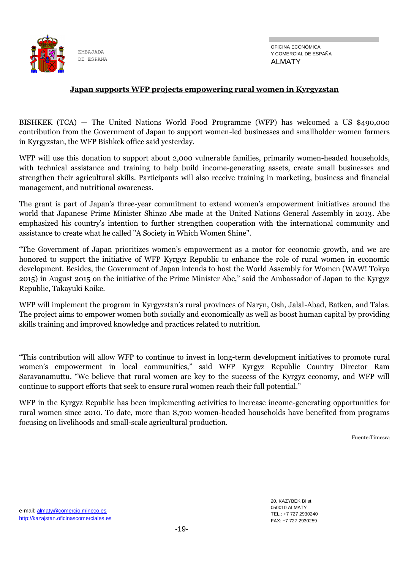

#### **Japan supports WFP projects empowering rural women in Kyrgyzstan**

BISHKEK (TCA) — The United Nations World Food Programme (WFP) has welcomed a US \$490,000 contribution from the Government of Japan to support women-led businesses and smallholder women farmers in Kyrgyzstan, the WFP Bishkek office said yesterday.

WFP will use this donation to support about 2,000 vulnerable families, primarily women-headed households, with technical assistance and training to help build income-generating assets, create small businesses and strengthen their agricultural skills. Participants will also receive training in marketing, business and financial management, and nutritional awareness.

The grant is part of Japan's three-year commitment to extend women's empowerment initiatives around the world that Japanese Prime Minister Shinzo Abe made at the United Nations General Assembly in 2013. Abe emphasized his country's intention to further strengthen cooperation with the international community and assistance to create what he called "A Society in Which Women Shine".

"The Government of Japan prioritizes women's empowerment as a motor for economic growth, and we are honored to support the initiative of WFP Kyrgyz Republic to enhance the role of rural women in economic development. Besides, the Government of Japan intends to host the World Assembly for Women (WAW! Tokyo 2015) in August 2015 on the initiative of the Prime Minister Abe," said the Ambassador of Japan to the Kyrgyz Republic, Takayuki Koike.

WFP will implement the program in Kyrgyzstan's rural provinces of Naryn, Osh, Jalal-Abad, Batken, and Talas. The project aims to empower women both socially and economically as well as boost human capital by providing skills training and improved knowledge and practices related to nutrition.

"This contribution will allow WFP to continue to invest in long-term development initiatives to promote rural women's empowerment in local communities," said WFP Kyrgyz Republic Country Director Ram Saravanamuttu. "We believe that rural women are key to the success of the Kyrgyz economy, and WFP will continue to support efforts that seek to ensure rural women reach their full potential."

WFP in the Kyrgyz Republic has been implementing activities to increase income-generating opportunities for rural women since 2010. To date, more than 8,700 women-headed households have benefited from programs focusing on livelihoods and small-scale agricultural production.

Fuente:Timesca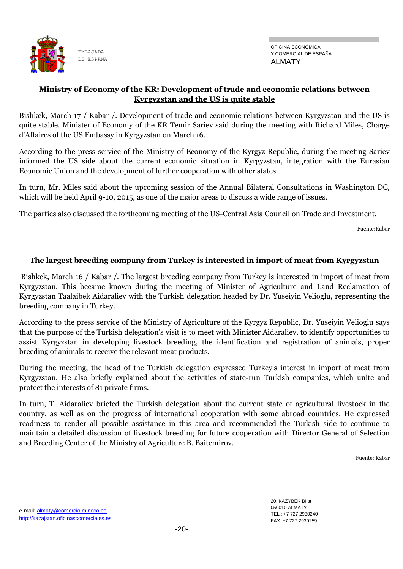#### **Ministry of Economy of the KR: Development of trade and economic relations between Kyrgyzstan and the US is quite stable**

Bishkek, March 17 / Kabar /. Development of trade and economic relations between Kyrgyzstan and the US is quite stable. Minister of Economy of the KR Temir Sariev said during the meeting with Richard Miles, Charge d'Affaires of the US Embassy in Kyrgyzstan on March 16.

According to the press service of the Ministry of Economy of the Kyrgyz Republic, during the meeting Sariev informed the US side about the current economic situation in Kyrgyzstan, integration with the Eurasian Economic Union and the development of further cooperation with other states.

In turn, Mr. Miles said about the upcoming session of the Annual Bilateral Consultations in Washington DC, which will be held April 9-10, 2015, as one of the major areas to discuss a wide range of issues.

The parties also discussed the forthcoming meeting of the US-Central Asia Council on Trade and Investment.

Fuente:Kabar

### **The largest breeding company from Turkey is interested in import of meat from Kyrgyzstan**

Bishkek, March 16 / Kabar /. The largest breeding company from Turkey is interested in import of meat from Kyrgyzstan. This became known during the meeting of Minister of Agriculture and Land Reclamation of Kyrgyzstan Taalaibek Aidaraliev with the Turkish delegation headed by Dr. Yuseiyin Velioglu, representing the breeding company in Turkey.

According to the press service of the Ministry of Agriculture of the Kyrgyz Republic, Dr. Yuseiyin Velioglu says that the purpose of the Turkish delegation's visit is to meet with Minister Aidaraliev, to identify opportunities to assist Kyrgyzstan in developing livestock breeding, the identification and registration of animals, proper breeding of animals to receive the relevant meat products.

During the meeting, the head of the Turkish delegation expressed Turkey's interest in import of meat from Kyrgyzstan. He also briefly explained about the activities of state-run Turkish companies, which unite and protect the interests of 81 private firms.

In turn, T. Aidaraliev briefed the Turkish delegation about the current state of agricultural livestock in the country, as well as on the progress of international cooperation with some abroad countries. He expressed readiness to render all possible assistance in this area and recommended the Turkish side to continue to maintain a detailed discussion of livestock breeding for future cooperation with Director General of Selection and Breeding Center of the Ministry of Agriculture B. Baitemirov.

Fuente: Kabar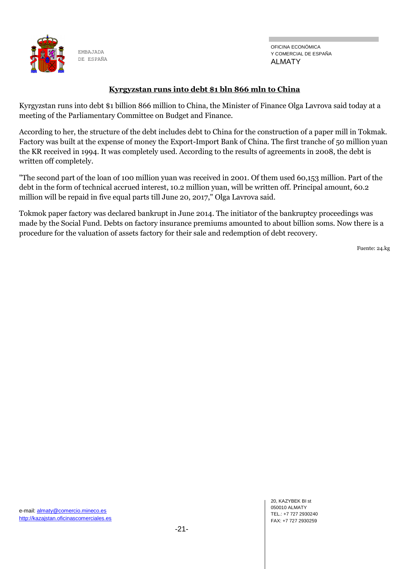

### **Kyrgyzstan runs into debt \$1 bln 866 mln to China**

Kyrgyzstan runs into debt \$1 billion 866 million to China, the Minister of Finance Olga Lavrova said today at a meeting of the Parliamentary Committee on Budget and Finance.

According to her, the structure of the debt includes debt to China for the construction of a paper mill in Tokmak. Factory was built at the expense of money the Export-Import Bank of China. The first tranche of 50 million yuan the KR received in 1994. It was completely used. According to the results of agreements in 2008, the debt is written off completely.

"The second part of the loan of 100 million yuan was received in 2001. Of them used 60,153 million. Part of the debt in the form of technical accrued interest, 10.2 million yuan, will be written off. Principal amount, 60.2 million will be repaid in five equal parts till June 20, 2017," Olga Lavrova said.

Tokmok paper factory was declared bankrupt in June 2014. The initiator of the bankruptcy proceedings was made by the Social Fund. Debts on factory insurance premiums amounted to about billion soms. Now there is a procedure for the valuation of assets factory for their sale and redemption of debt recovery.

Fuente: 24.kg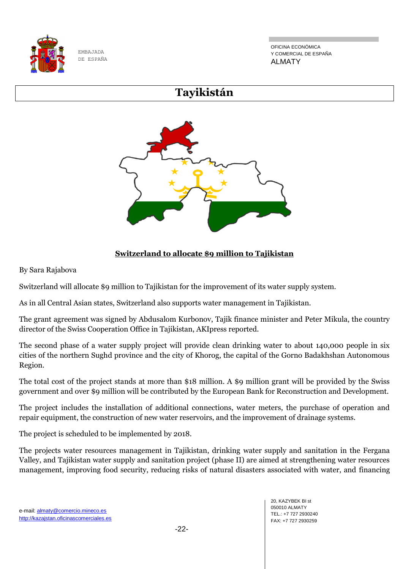

OFICINA ECONÓMICA Y COMERCIAL DE ESPAÑA ALMATY

# **Tayikistán**



# **Switzerland to allocate \$9 million to Tajikistan**

By Sara Rajabova

Switzerland will allocate \$9 million to Tajikistan for the improvement of its water supply system.

As in all Central Asian states, Switzerland also supports water management in Tajikistan.

The grant agreement was signed by Abdusalom Kurbonov, Tajik finance minister and Peter Mikula, the country director of the Swiss Cooperation Office in Tajikistan, AKIpress reported.

The second phase of a water supply project will provide clean drinking water to about 140,000 people in six cities of the northern Sughd province and the city of Khorog, the capital of the Gorno Badakhshan Autonomous Region.

The total cost of the project stands at more than \$18 million. A \$9 million grant will be provided by the Swiss government and over \$9 million will be contributed by the European Bank for Reconstruction and Development.

The project includes the installation of additional connections, water meters, the purchase of operation and repair equipment, the construction of new water reservoirs, and the improvement of drainage systems.

The project is scheduled to be implemented by 2018.

The projects water resources management in Tajikistan, drinking water supply and sanitation in the Fergana Valley, and Tajikistan water supply and sanitation project (phase II) are aimed at strengthening water resources management, improving food security, reducing risks of natural disasters associated with water, and financing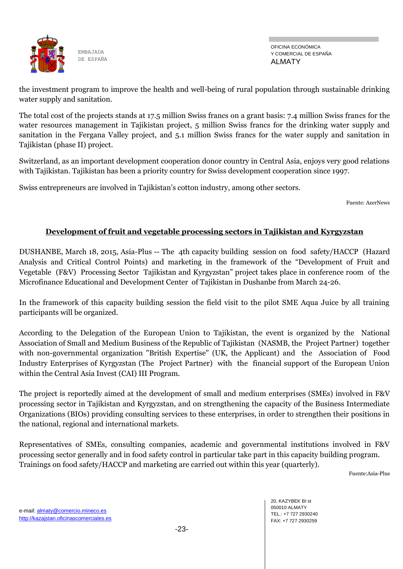

OFICINA ECONÓMICA Y COMERCIAL DE ESPAÑA ALMATY

the investment program to improve the health and well-being of rural population through sustainable drinking water supply and sanitation.

The total cost of the projects stands at 17.5 million Swiss francs on a grant basis: 7.4 million Swiss francs for the water resources management in Tajikistan project, 5 million Swiss francs for the drinking water supply and sanitation in the Fergana Valley project, and 5.1 million Swiss francs for the water supply and sanitation in Tajikistan (phase II) project.

Switzerland, as an important development cooperation donor country in Central Asia, enjoys very good relations with Tajikistan. Tajikistan has been a priority country for Swiss development cooperation since 1997.

Swiss entrepreneurs are involved in Tajikistan's cotton industry, among other sectors.

Fuente: AzerNews

# **Development of fruit and vegetable processing sectors in Tajikistan and Kyrgyzstan**

DUSHANBE, March 18, 2015, Asia-Plus -- The 4th capacity building session on food safety/НАССР (Hazard Analysis and Critical Control Points) and marketing in the framework of the "Development of Fruit and Vegetable (F&V) Processing Sector Tajikistan and Kyrgyzstan" project takes place in conference room of the Microfinance Educational and Development Center of Tajikistan in Dushanbe from March 24-26.

In the framework of this capacity building session the field visit to the pilot SME Aqua Juice by all training participants will be organized.

According to the Delegation of the European Union to Tajikistan, the event is organized by the National Association of Small and Medium Business of the Republic of Tajikistan (NASMB, the Project Partner) together with non-governmental organization "British Expertise" (UK, the Applicant) and the Association of Food Industry Enterprises of Kyrgyzstan (The Project Partner) with the financial support of the European Union within the Central Asia Invest (CAI) III Program.

The project is reportedly aimed at the development of small and medium enterprises (SMEs) involved in F&V processing sector in Tajikistan and Kyrgyzstan, and on strengthening the capacity of the Business Intermediate Organizations (BIOs) providing consulting services to these enterprises, in order to strengthen their positions in the national, regional and international markets.

Representatives of SMEs, consulting companies, academic and governmental institutions involved in F&V processing sector generally and in food safety control in particular take part in this capacity building program. Trainings on food safety/НАССР and marketing are carried out within this year (quarterly).

Fuente:Asia-Plus